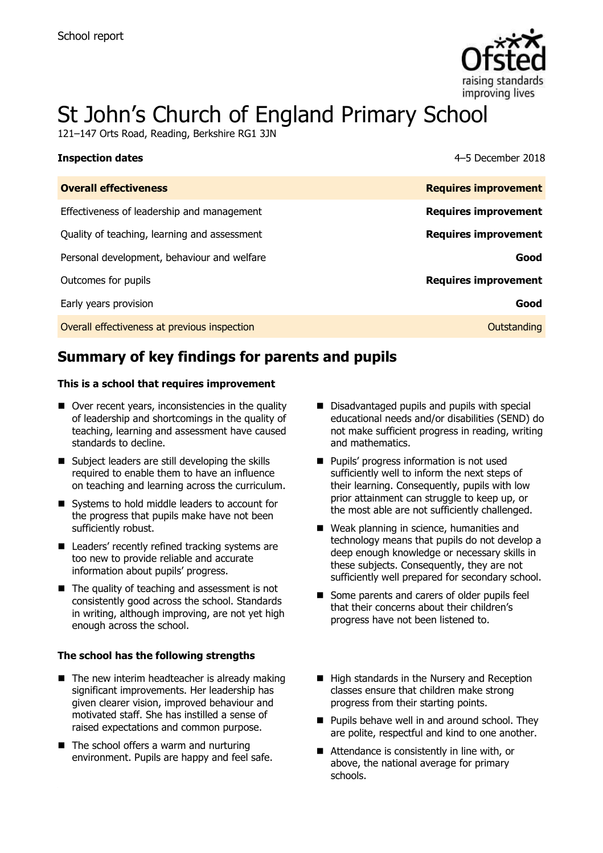

# St John's Church of England Primary School

121–147 Orts Road, Reading, Berkshire RG1 3JN

| <b>Inspection dates</b>                      | 4–5 December 2018           |
|----------------------------------------------|-----------------------------|
| <b>Overall effectiveness</b>                 | <b>Requires improvement</b> |
| Effectiveness of leadership and management   | <b>Requires improvement</b> |
| Quality of teaching, learning and assessment | <b>Requires improvement</b> |
| Personal development, behaviour and welfare  | Good                        |
| Outcomes for pupils                          | <b>Requires improvement</b> |
| Early years provision                        | Good                        |
| Overall effectiveness at previous inspection | Outstanding                 |

# **Summary of key findings for parents and pupils**

#### **This is a school that requires improvement**

- Over recent years, inconsistencies in the quality of leadership and shortcomings in the quality of teaching, learning and assessment have caused standards to decline.
- Subject leaders are still developing the skills required to enable them to have an influence on teaching and learning across the curriculum.
- Systems to hold middle leaders to account for the progress that pupils make have not been sufficiently robust.
- Leaders' recently refined tracking systems are too new to provide reliable and accurate information about pupils' progress.
- $\blacksquare$  The quality of teaching and assessment is not consistently good across the school. Standards in writing, although improving, are not yet high enough across the school.

#### **The school has the following strengths**

- $\blacksquare$  The new interim headteacher is already making significant improvements. Her leadership has given clearer vision, improved behaviour and motivated staff. She has instilled a sense of raised expectations and common purpose.
- The school offers a warm and nurturing environment. Pupils are happy and feel safe.
- Disadvantaged pupils and pupils with special educational needs and/or disabilities (SEND) do not make sufficient progress in reading, writing and mathematics.
- **Pupils' progress information is not used** sufficiently well to inform the next steps of their learning. Consequently, pupils with low prior attainment can struggle to keep up, or the most able are not sufficiently challenged.
- Weak planning in science, humanities and technology means that pupils do not develop a deep enough knowledge or necessary skills in these subjects. Consequently, they are not sufficiently well prepared for secondary school.
- Some parents and carers of older pupils feel that their concerns about their children's progress have not been listened to.
- High standards in the Nursery and Reception classes ensure that children make strong progress from their starting points.
- **Pupils behave well in and around school. They** are polite, respectful and kind to one another.
- Attendance is consistently in line with, or above, the national average for primary schools.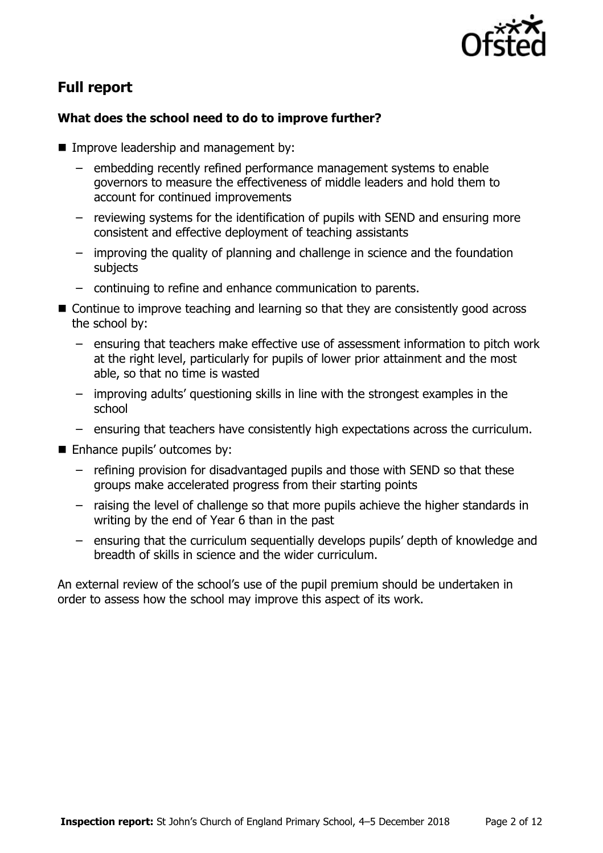

# **Full report**

### **What does the school need to do to improve further?**

- **Improve leadership and management by:** 
	- embedding recently refined performance management systems to enable governors to measure the effectiveness of middle leaders and hold them to account for continued improvements
	- reviewing systems for the identification of pupils with SEND and ensuring more consistent and effective deployment of teaching assistants
	- improving the quality of planning and challenge in science and the foundation subjects
	- continuing to refine and enhance communication to parents.
- Continue to improve teaching and learning so that they are consistently good across the school by:
	- ensuring that teachers make effective use of assessment information to pitch work at the right level, particularly for pupils of lower prior attainment and the most able, so that no time is wasted
	- improving adults' questioning skills in line with the strongest examples in the school
	- ensuring that teachers have consistently high expectations across the curriculum.
- **Enhance pupils' outcomes by:** 
	- refining provision for disadvantaged pupils and those with SEND so that these groups make accelerated progress from their starting points
	- raising the level of challenge so that more pupils achieve the higher standards in writing by the end of Year 6 than in the past
	- ensuring that the curriculum sequentially develops pupils' depth of knowledge and breadth of skills in science and the wider curriculum.

An external review of the school's use of the pupil premium should be undertaken in order to assess how the school may improve this aspect of its work.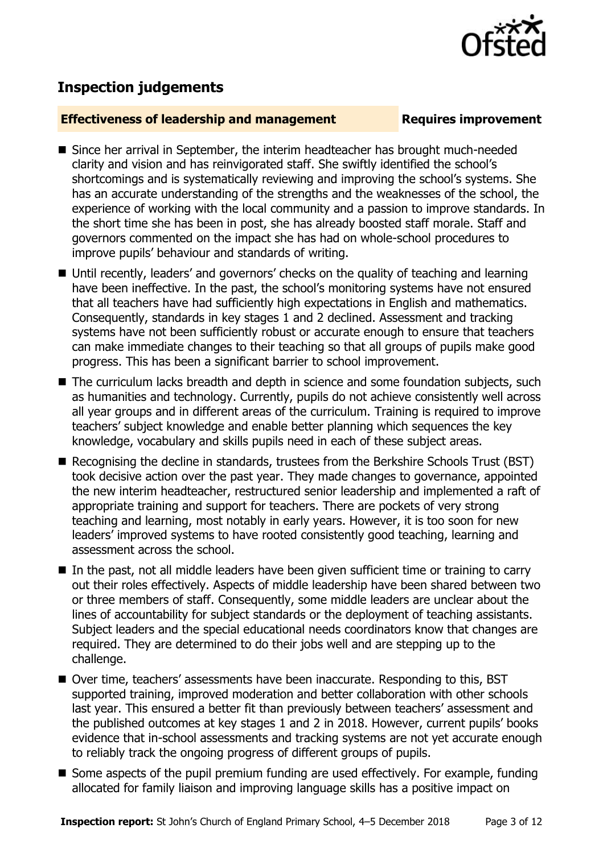

# **Inspection judgements**

#### **Effectiveness of leadership and management Requires improvement**

- Since her arrival in September, the interim headteacher has brought much-needed clarity and vision and has reinvigorated staff. She swiftly identified the school's shortcomings and is systematically reviewing and improving the school's systems. She has an accurate understanding of the strengths and the weaknesses of the school, the experience of working with the local community and a passion to improve standards. In the short time she has been in post, she has already boosted staff morale. Staff and governors commented on the impact she has had on whole-school procedures to improve pupils' behaviour and standards of writing.
- Until recently, leaders' and governors' checks on the quality of teaching and learning have been ineffective. In the past, the school's monitoring systems have not ensured that all teachers have had sufficiently high expectations in English and mathematics. Consequently, standards in key stages 1 and 2 declined. Assessment and tracking systems have not been sufficiently robust or accurate enough to ensure that teachers can make immediate changes to their teaching so that all groups of pupils make good progress. This has been a significant barrier to school improvement.
- The curriculum lacks breadth and depth in science and some foundation subjects, such as humanities and technology. Currently, pupils do not achieve consistently well across all year groups and in different areas of the curriculum. Training is required to improve teachers' subject knowledge and enable better planning which sequences the key knowledge, vocabulary and skills pupils need in each of these subject areas.
- Recognising the decline in standards, trustees from the Berkshire Schools Trust (BST) took decisive action over the past year. They made changes to governance, appointed the new interim headteacher, restructured senior leadership and implemented a raft of appropriate training and support for teachers. There are pockets of very strong teaching and learning, most notably in early years. However, it is too soon for new leaders' improved systems to have rooted consistently good teaching, learning and assessment across the school.
- In the past, not all middle leaders have been given sufficient time or training to carry out their roles effectively. Aspects of middle leadership have been shared between two or three members of staff. Consequently, some middle leaders are unclear about the lines of accountability for subject standards or the deployment of teaching assistants. Subject leaders and the special educational needs coordinators know that changes are required. They are determined to do their jobs well and are stepping up to the challenge.
- Over time, teachers' assessments have been inaccurate. Responding to this, BST supported training, improved moderation and better collaboration with other schools last year. This ensured a better fit than previously between teachers' assessment and the published outcomes at key stages 1 and 2 in 2018. However, current pupils' books evidence that in-school assessments and tracking systems are not yet accurate enough to reliably track the ongoing progress of different groups of pupils.
- Some aspects of the pupil premium funding are used effectively. For example, funding allocated for family liaison and improving language skills has a positive impact on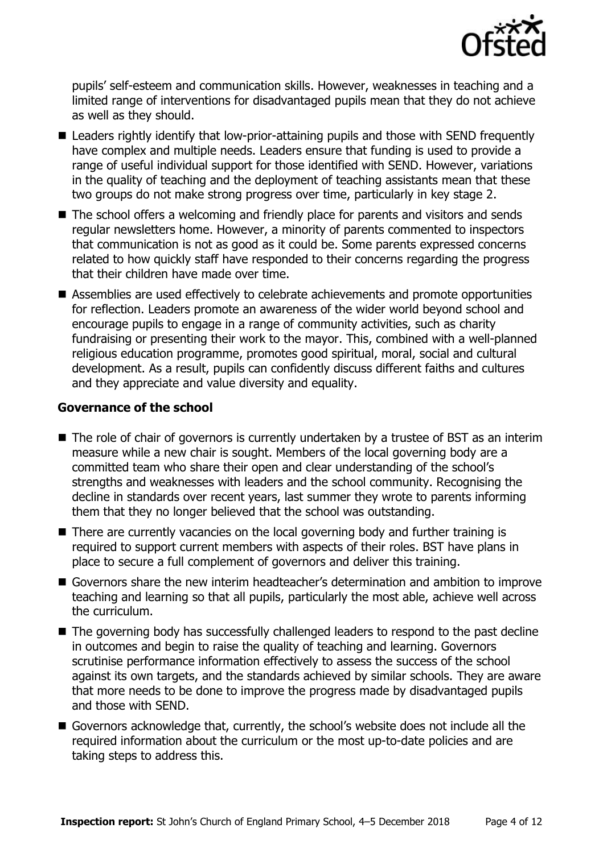

pupils' self-esteem and communication skills. However, weaknesses in teaching and a limited range of interventions for disadvantaged pupils mean that they do not achieve as well as they should.

- Leaders rightly identify that low-prior-attaining pupils and those with SEND frequently have complex and multiple needs. Leaders ensure that funding is used to provide a range of useful individual support for those identified with SEND. However, variations in the quality of teaching and the deployment of teaching assistants mean that these two groups do not make strong progress over time, particularly in key stage 2.
- The school offers a welcoming and friendly place for parents and visitors and sends regular newsletters home. However, a minority of parents commented to inspectors that communication is not as good as it could be. Some parents expressed concerns related to how quickly staff have responded to their concerns regarding the progress that their children have made over time.
- Assemblies are used effectively to celebrate achievements and promote opportunities for reflection. Leaders promote an awareness of the wider world beyond school and encourage pupils to engage in a range of community activities, such as charity fundraising or presenting their work to the mayor. This, combined with a well-planned religious education programme, promotes good spiritual, moral, social and cultural development. As a result, pupils can confidently discuss different faiths and cultures and they appreciate and value diversity and equality.

#### **Governance of the school**

- The role of chair of governors is currently undertaken by a trustee of BST as an interim measure while a new chair is sought. Members of the local governing body are a committed team who share their open and clear understanding of the school's strengths and weaknesses with leaders and the school community. Recognising the decline in standards over recent years, last summer they wrote to parents informing them that they no longer believed that the school was outstanding.
- There are currently vacancies on the local governing body and further training is required to support current members with aspects of their roles. BST have plans in place to secure a full complement of governors and deliver this training.
- Governors share the new interim headteacher's determination and ambition to improve teaching and learning so that all pupils, particularly the most able, achieve well across the curriculum.
- The governing body has successfully challenged leaders to respond to the past decline in outcomes and begin to raise the quality of teaching and learning. Governors scrutinise performance information effectively to assess the success of the school against its own targets, and the standards achieved by similar schools. They are aware that more needs to be done to improve the progress made by disadvantaged pupils and those with SEND.
- Governors acknowledge that, currently, the school's website does not include all the required information about the curriculum or the most up-to-date policies and are taking steps to address this.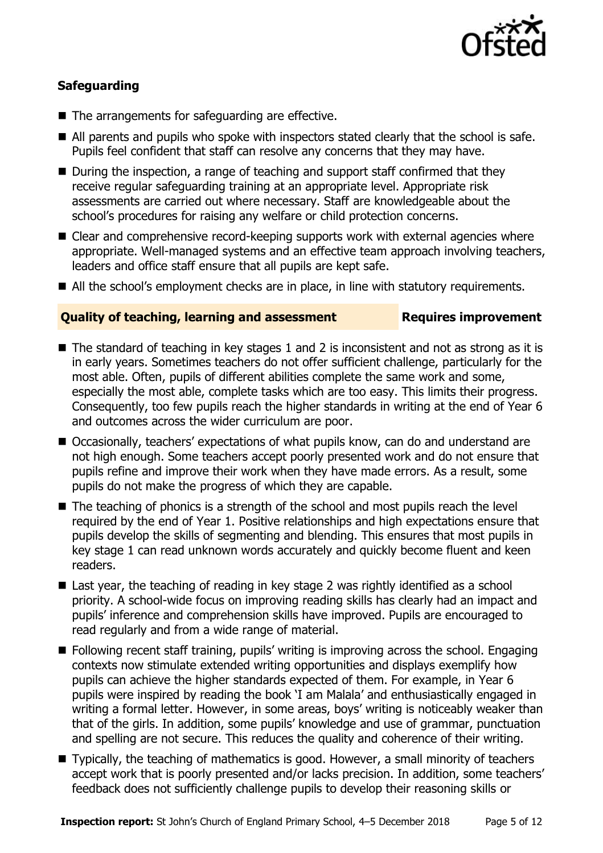

### **Safeguarding**

- The arrangements for safeguarding are effective.
- All parents and pupils who spoke with inspectors stated clearly that the school is safe. Pupils feel confident that staff can resolve any concerns that they may have.
- During the inspection, a range of teaching and support staff confirmed that they receive regular safeguarding training at an appropriate level. Appropriate risk assessments are carried out where necessary. Staff are knowledgeable about the school's procedures for raising any welfare or child protection concerns.
- Clear and comprehensive record-keeping supports work with external agencies where appropriate. Well-managed systems and an effective team approach involving teachers, leaders and office staff ensure that all pupils are kept safe.
- All the school's employment checks are in place, in line with statutory requirements.

#### **Quality of teaching, learning and assessment Requires improvement**

- $\blacksquare$  The standard of teaching in key stages 1 and 2 is inconsistent and not as strong as it is in early years. Sometimes teachers do not offer sufficient challenge, particularly for the most able. Often, pupils of different abilities complete the same work and some, especially the most able, complete tasks which are too easy. This limits their progress. Consequently, too few pupils reach the higher standards in writing at the end of Year 6 and outcomes across the wider curriculum are poor.
- Occasionally, teachers' expectations of what pupils know, can do and understand are not high enough. Some teachers accept poorly presented work and do not ensure that pupils refine and improve their work when they have made errors. As a result, some pupils do not make the progress of which they are capable.
- The teaching of phonics is a strength of the school and most pupils reach the level required by the end of Year 1. Positive relationships and high expectations ensure that pupils develop the skills of segmenting and blending. This ensures that most pupils in key stage 1 can read unknown words accurately and quickly become fluent and keen readers.
- Last year, the teaching of reading in key stage 2 was rightly identified as a school priority. A school-wide focus on improving reading skills has clearly had an impact and pupils' inference and comprehension skills have improved. Pupils are encouraged to read regularly and from a wide range of material.
- Following recent staff training, pupils' writing is improving across the school. Engaging contexts now stimulate extended writing opportunities and displays exemplify how pupils can achieve the higher standards expected of them. For example, in Year 6 pupils were inspired by reading the book 'I am Malala' and enthusiastically engaged in writing a formal letter. However, in some areas, boys' writing is noticeably weaker than that of the girls. In addition, some pupils' knowledge and use of grammar, punctuation and spelling are not secure. This reduces the quality and coherence of their writing.
- Typically, the teaching of mathematics is good. However, a small minority of teachers accept work that is poorly presented and/or lacks precision. In addition, some teachers' feedback does not sufficiently challenge pupils to develop their reasoning skills or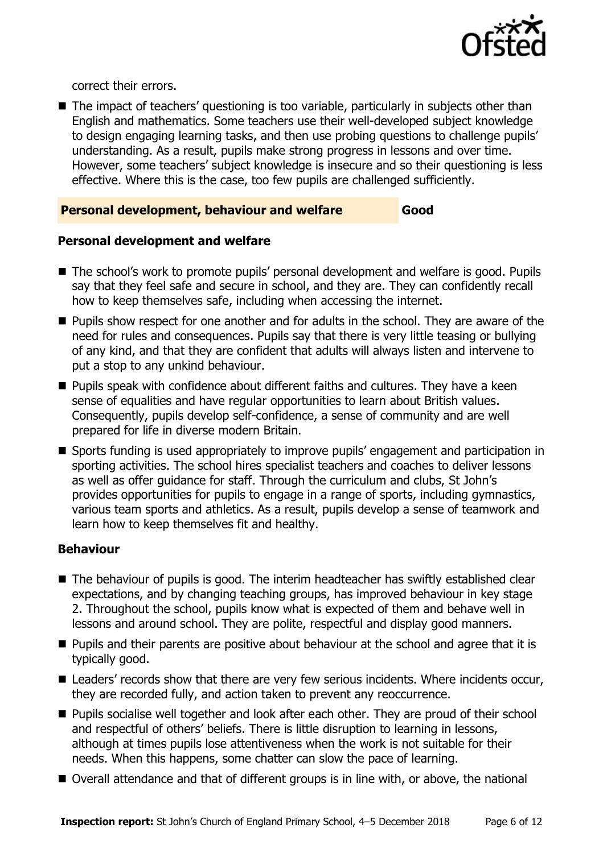

correct their errors.

■ The impact of teachers' questioning is too variable, particularly in subjects other than English and mathematics. Some teachers use their well-developed subject knowledge to design engaging learning tasks, and then use probing questions to challenge pupils' understanding. As a result, pupils make strong progress in lessons and over time. However, some teachers' subject knowledge is insecure and so their questioning is less effective. Where this is the case, too few pupils are challenged sufficiently.

### **Personal development, behaviour and welfare Good**

#### **Personal development and welfare**

- The school's work to promote pupils' personal development and welfare is good. Pupils say that they feel safe and secure in school, and they are. They can confidently recall how to keep themselves safe, including when accessing the internet.
- **Pupils show respect for one another and for adults in the school. They are aware of the** need for rules and consequences. Pupils say that there is very little teasing or bullying of any kind, and that they are confident that adults will always listen and intervene to put a stop to any unkind behaviour.
- **Pupils speak with confidence about different faiths and cultures. They have a keen** sense of equalities and have regular opportunities to learn about British values. Consequently, pupils develop self-confidence, a sense of community and are well prepared for life in diverse modern Britain.
- Sports funding is used appropriately to improve pupils' engagement and participation in sporting activities. The school hires specialist teachers and coaches to deliver lessons as well as offer guidance for staff. Through the curriculum and clubs, St John's provides opportunities for pupils to engage in a range of sports, including gymnastics, various team sports and athletics. As a result, pupils develop a sense of teamwork and learn how to keep themselves fit and healthy.

#### **Behaviour**

- The behaviour of pupils is good. The interim headteacher has swiftly established clear expectations, and by changing teaching groups, has improved behaviour in key stage 2. Throughout the school, pupils know what is expected of them and behave well in lessons and around school. They are polite, respectful and display good manners.
- **Pupils and their parents are positive about behaviour at the school and agree that it is** typically good.
- Leaders' records show that there are very few serious incidents. Where incidents occur, they are recorded fully, and action taken to prevent any reoccurrence.
- **Pupils socialise well together and look after each other. They are proud of their school** and respectful of others' beliefs. There is little disruption to learning in lessons, although at times pupils lose attentiveness when the work is not suitable for their needs. When this happens, some chatter can slow the pace of learning.
- Overall attendance and that of different groups is in line with, or above, the national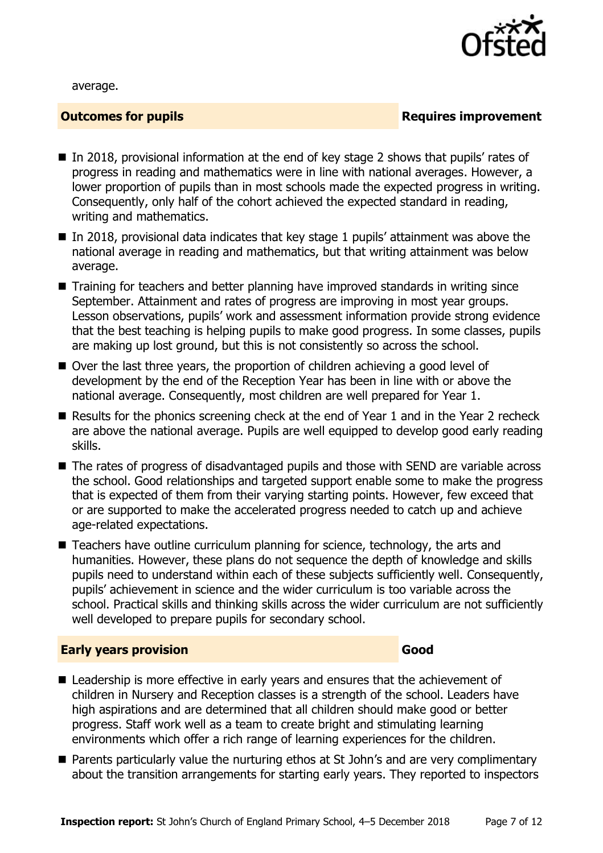

average.

#### **Outcomes for pupils Requires improvement**

- In 2018, provisional information at the end of key stage 2 shows that pupils' rates of progress in reading and mathematics were in line with national averages. However, a lower proportion of pupils than in most schools made the expected progress in writing. Consequently, only half of the cohort achieved the expected standard in reading, writing and mathematics.
- $\blacksquare$  In 2018, provisional data indicates that key stage 1 pupils' attainment was above the national average in reading and mathematics, but that writing attainment was below average.
- Training for teachers and better planning have improved standards in writing since September. Attainment and rates of progress are improving in most year groups. Lesson observations, pupils' work and assessment information provide strong evidence that the best teaching is helping pupils to make good progress. In some classes, pupils are making up lost ground, but this is not consistently so across the school.
- Over the last three years, the proportion of children achieving a good level of development by the end of the Reception Year has been in line with or above the national average. Consequently, most children are well prepared for Year 1.
- Results for the phonics screening check at the end of Year 1 and in the Year 2 recheck are above the national average. Pupils are well equipped to develop good early reading skills.
- The rates of progress of disadvantaged pupils and those with SEND are variable across the school. Good relationships and targeted support enable some to make the progress that is expected of them from their varying starting points. However, few exceed that or are supported to make the accelerated progress needed to catch up and achieve age-related expectations.
- Teachers have outline curriculum planning for science, technology, the arts and humanities. However, these plans do not sequence the depth of knowledge and skills pupils need to understand within each of these subjects sufficiently well. Consequently, pupils' achievement in science and the wider curriculum is too variable across the school. Practical skills and thinking skills across the wider curriculum are not sufficiently well developed to prepare pupils for secondary school.

#### **Early years provision Good Good**

- Leadership is more effective in early years and ensures that the achievement of children in Nursery and Reception classes is a strength of the school. Leaders have high aspirations and are determined that all children should make good or better progress. Staff work well as a team to create bright and stimulating learning environments which offer a rich range of learning experiences for the children.
- Parents particularly value the nurturing ethos at St John's and are very complimentary about the transition arrangements for starting early years. They reported to inspectors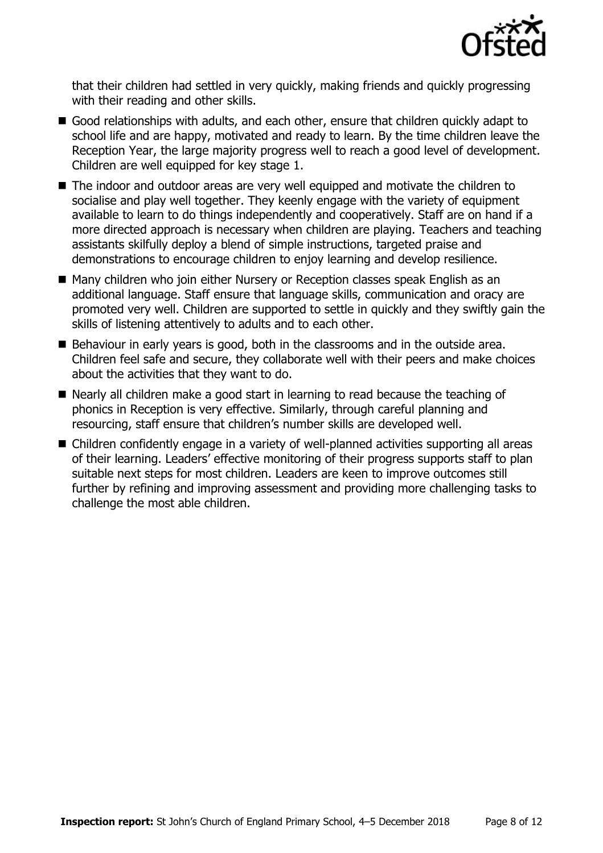

that their children had settled in very quickly, making friends and quickly progressing with their reading and other skills.

- Good relationships with adults, and each other, ensure that children quickly adapt to school life and are happy, motivated and ready to learn. By the time children leave the Reception Year, the large majority progress well to reach a good level of development. Children are well equipped for key stage 1.
- The indoor and outdoor areas are very well equipped and motivate the children to socialise and play well together. They keenly engage with the variety of equipment available to learn to do things independently and cooperatively. Staff are on hand if a more directed approach is necessary when children are playing. Teachers and teaching assistants skilfully deploy a blend of simple instructions, targeted praise and demonstrations to encourage children to enjoy learning and develop resilience.
- Many children who join either Nursery or Reception classes speak English as an additional language. Staff ensure that language skills, communication and oracy are promoted very well. Children are supported to settle in quickly and they swiftly gain the skills of listening attentively to adults and to each other.
- Behaviour in early years is good, both in the classrooms and in the outside area. Children feel safe and secure, they collaborate well with their peers and make choices about the activities that they want to do.
- Nearly all children make a good start in learning to read because the teaching of phonics in Reception is very effective. Similarly, through careful planning and resourcing, staff ensure that children's number skills are developed well.
- Children confidently engage in a variety of well-planned activities supporting all areas of their learning. Leaders' effective monitoring of their progress supports staff to plan suitable next steps for most children. Leaders are keen to improve outcomes still further by refining and improving assessment and providing more challenging tasks to challenge the most able children.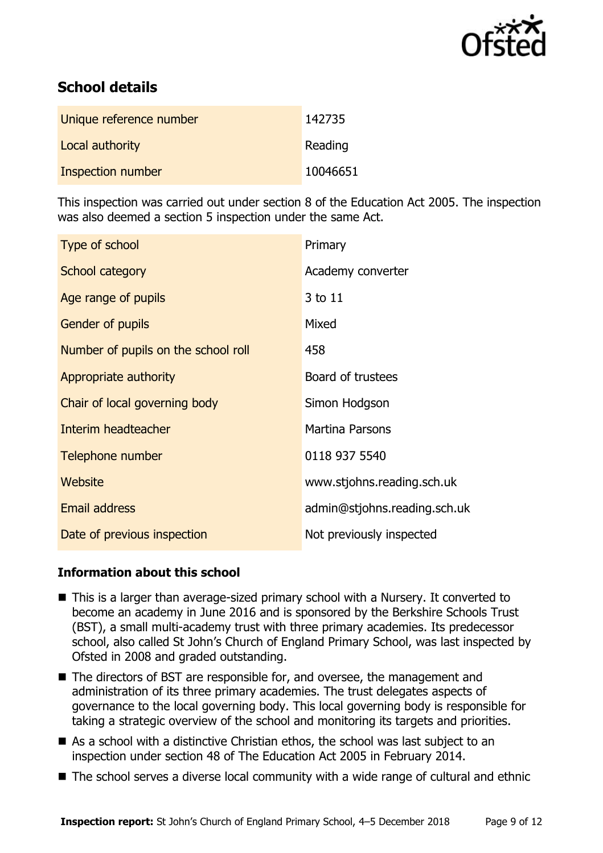

# **School details**

| Unique reference number | 142735   |
|-------------------------|----------|
| Local authority         | Reading  |
| Inspection number       | 10046651 |

This inspection was carried out under section 8 of the Education Act 2005. The inspection was also deemed a section 5 inspection under the same Act.

| Type of school                      | Primary                      |
|-------------------------------------|------------------------------|
| School category                     | Academy converter            |
| Age range of pupils                 | 3 to 11                      |
| Gender of pupils                    | Mixed                        |
| Number of pupils on the school roll | 458                          |
| Appropriate authority               | Board of trustees            |
| Chair of local governing body       | Simon Hodgson                |
| Interim headteacher                 | <b>Martina Parsons</b>       |
| Telephone number                    | 0118 937 5540                |
| Website                             | www.stjohns.reading.sch.uk   |
| <b>Email address</b>                | admin@stjohns.reading.sch.uk |
| Date of previous inspection         | Not previously inspected     |

### **Information about this school**

- This is a larger than average-sized primary school with a Nursery. It converted to become an academy in June 2016 and is sponsored by the Berkshire Schools Trust (BST), a small multi-academy trust with three primary academies. Its predecessor school, also called St John's Church of England Primary School, was last inspected by Ofsted in 2008 and graded outstanding.
- The directors of BST are responsible for, and oversee, the management and administration of its three primary academies. The trust delegates aspects of governance to the local governing body. This local governing body is responsible for taking a strategic overview of the school and monitoring its targets and priorities.
- As a school with a distinctive Christian ethos, the school was last subject to an inspection under section 48 of The Education Act 2005 in February 2014.
- The school serves a diverse local community with a wide range of cultural and ethnic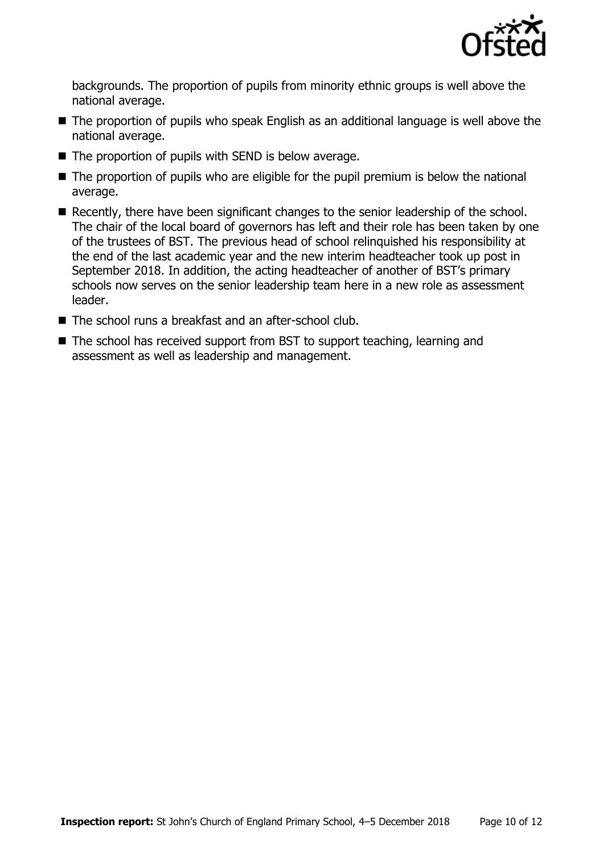

backgrounds. The proportion of pupils from minority ethnic groups is well above the national average.

- The proportion of pupils who speak English as an additional language is well above the national average.
- $\blacksquare$  The proportion of pupils with SEND is below average.
- The proportion of pupils who are eligible for the pupil premium is below the national average.
- Recently, there have been significant changes to the senior leadership of the school. The chair of the local board of governors has left and their role has been taken by one of the trustees of BST. The previous head of school relinquished his responsibility at the end of the last academic year and the new interim headteacher took up post in September 2018. In addition, the acting headteacher of another of BST's primary schools now serves on the senior leadership team here in a new role as assessment leader.
- The school runs a breakfast and an after-school club.
- The school has received support from BST to support teaching, learning and assessment as well as leadership and management.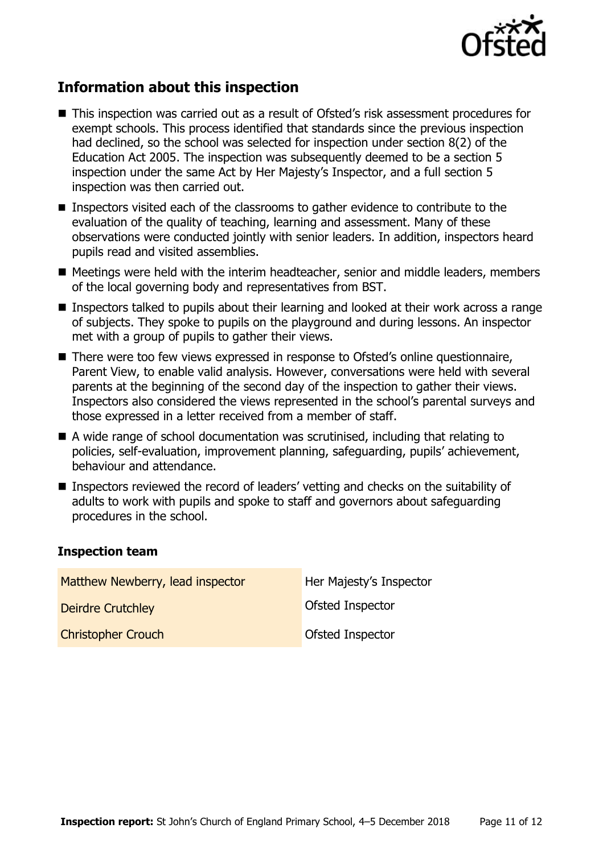

# **Information about this inspection**

- This inspection was carried out as a result of Ofsted's risk assessment procedures for exempt schools. This process identified that standards since the previous inspection had declined, so the school was selected for inspection under section 8(2) of the Education Act 2005. The inspection was subsequently deemed to be a section 5 inspection under the same Act by Her Majesty's Inspector, and a full section 5 inspection was then carried out.
- **Inspectors visited each of the classrooms to gather evidence to contribute to the** evaluation of the quality of teaching, learning and assessment. Many of these observations were conducted jointly with senior leaders. In addition, inspectors heard pupils read and visited assemblies.
- Meetings were held with the interim headteacher, senior and middle leaders, members of the local governing body and representatives from BST.
- **Inspectors talked to pupils about their learning and looked at their work across a range** of subjects. They spoke to pupils on the playground and during lessons. An inspector met with a group of pupils to gather their views.
- There were too few views expressed in response to Ofsted's online questionnaire, Parent View, to enable valid analysis. However, conversations were held with several parents at the beginning of the second day of the inspection to gather their views. Inspectors also considered the views represented in the school's parental surveys and those expressed in a letter received from a member of staff.
- A wide range of school documentation was scrutinised, including that relating to policies, self-evaluation, improvement planning, safeguarding, pupils' achievement, behaviour and attendance.
- Inspectors reviewed the record of leaders' vetting and checks on the suitability of adults to work with pupils and spoke to staff and governors about safeguarding procedures in the school.

#### **Inspection team**

| Matthew Newberry, lead inspector | Her Majesty's Inspector |
|----------------------------------|-------------------------|
| <b>Deirdre Crutchley</b>         | Ofsted Inspector        |
| <b>Christopher Crouch</b>        | Ofsted Inspector        |